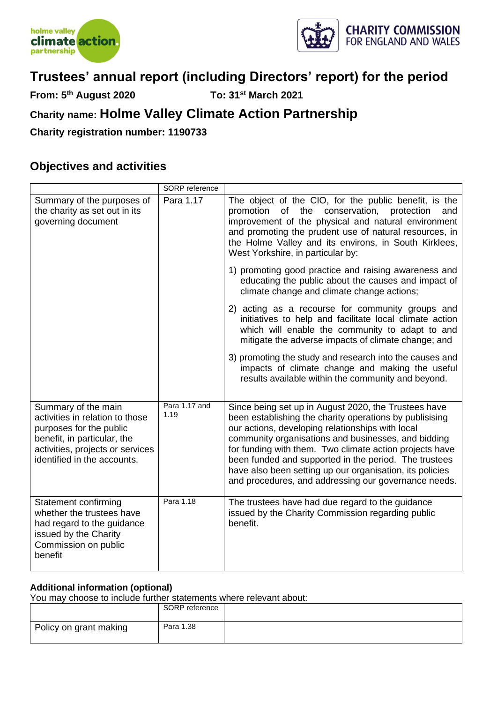



**From: 5th August 2020 To: 31st March 2021**

# **Charity name: Holme Valley Climate Action Partnership**

**Charity registration number: 1190733**

### **Objectives and activities**

|                                                                                                                                                                                     | SORP reference        |                                                                                                                                                                                                                                                                                                                                                                                                                                                                    |
|-------------------------------------------------------------------------------------------------------------------------------------------------------------------------------------|-----------------------|--------------------------------------------------------------------------------------------------------------------------------------------------------------------------------------------------------------------------------------------------------------------------------------------------------------------------------------------------------------------------------------------------------------------------------------------------------------------|
| Summary of the purposes of<br>the charity as set out in its<br>governing document                                                                                                   | Para 1.17             | The object of the CIO, for the public benefit, is the<br>promotion of the conservation, protection<br>and<br>improvement of the physical and natural environment<br>and promoting the prudent use of natural resources, in<br>the Holme Valley and its environs, in South Kirklees,<br>West Yorkshire, in particular by:                                                                                                                                           |
|                                                                                                                                                                                     |                       | 1) promoting good practice and raising awareness and<br>educating the public about the causes and impact of<br>climate change and climate change actions;                                                                                                                                                                                                                                                                                                          |
|                                                                                                                                                                                     |                       | 2) acting as a recourse for community groups and<br>initiatives to help and facilitate local climate action<br>which will enable the community to adapt to and<br>mitigate the adverse impacts of climate change; and                                                                                                                                                                                                                                              |
|                                                                                                                                                                                     |                       | 3) promoting the study and research into the causes and<br>impacts of climate change and making the useful<br>results available within the community and beyond.                                                                                                                                                                                                                                                                                                   |
| Summary of the main<br>activities in relation to those<br>purposes for the public<br>benefit, in particular, the<br>activities, projects or services<br>identified in the accounts. | Para 1.17 and<br>1.19 | Since being set up in August 2020, the Trustees have<br>been establishing the charity operations by publisising<br>our actions, developing relationships with local<br>community organisations and businesses, and bidding<br>for funding with them. Two climate action projects have<br>been funded and supported in the period. The trustees<br>have also been setting up our organisation, its policies<br>and procedures, and addressing our governance needs. |
| Statement confirming<br>whether the trustees have<br>had regard to the guidance<br>issued by the Charity<br>Commission on public<br>benefit                                         | Para 1.18             | The trustees have had due regard to the guidance<br>issued by the Charity Commission regarding public<br>benefit.                                                                                                                                                                                                                                                                                                                                                  |

#### **Additional information (optional)**

You may choose to include further statements where relevant about:

|                        | SORP reference |  |
|------------------------|----------------|--|
| Policy on grant making | Para 1.38      |  |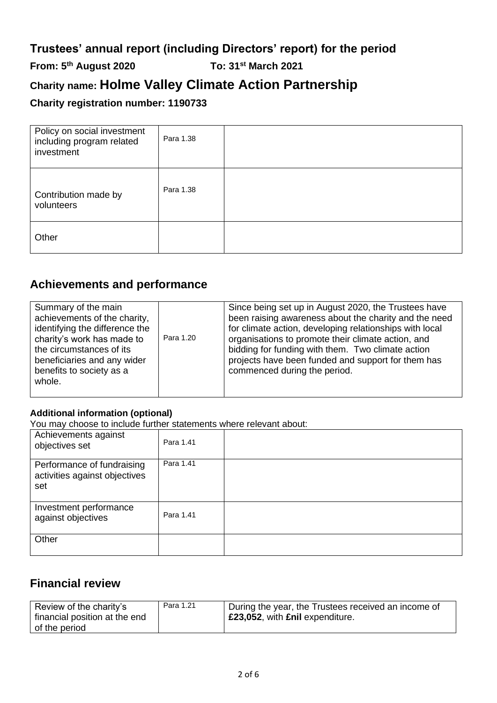# **From: 5th August 2020 To: 31st March 2021**

# **Charity name: Holme Valley Climate Action Partnership**

### **Charity registration number: 1190733**

| Policy on social investment<br>including program related<br>investment | Para 1.38 |  |
|------------------------------------------------------------------------|-----------|--|
| Contribution made by<br>volunteers                                     | Para 1.38 |  |
| Other                                                                  |           |  |

### **Achievements and performance**

### **Additional information (optional)**

You may choose to include further statements where relevant about:

| Achievements against<br>objectives set                             | Para 1.41 |  |
|--------------------------------------------------------------------|-----------|--|
| Performance of fundraising<br>activities against objectives<br>set | Para 1.41 |  |
| Investment performance<br>against objectives                       | Para 1.41 |  |
| Other                                                              |           |  |

### **Financial review**

| Review of the charity's<br>financial position at the end | Para 1.21 | During the year, the Trustees received an income of<br><b>£23,052, with £nil expenditure.</b> |
|----------------------------------------------------------|-----------|-----------------------------------------------------------------------------------------------|
| of the period                                            |           |                                                                                               |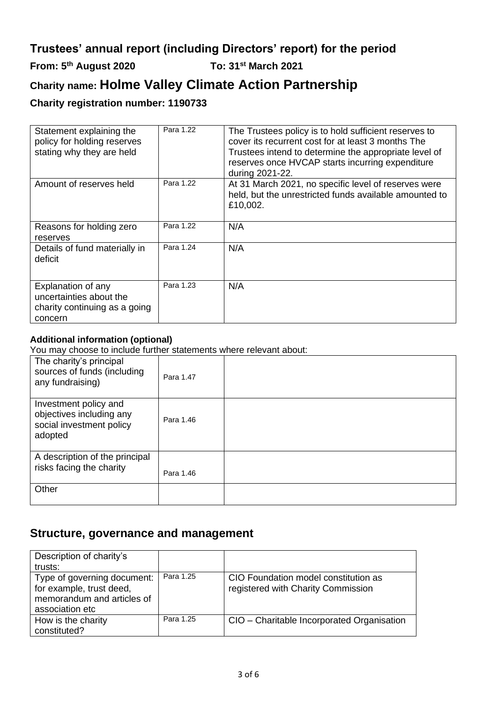# **From: 5th August 2020 To: 31st March 2021**

# **Charity name: Holme Valley Climate Action Partnership**

### **Charity registration number: 1190733**

| Statement explaining the<br>policy for holding reserves<br>stating why they are held      | Para 1.22 | The Trustees policy is to hold sufficient reserves to<br>cover its recurrent cost for at least 3 months The<br>Trustees intend to determine the appropriate level of<br>reserves once HVCAP starts incurring expenditure<br>during 2021-22. |
|-------------------------------------------------------------------------------------------|-----------|---------------------------------------------------------------------------------------------------------------------------------------------------------------------------------------------------------------------------------------------|
| Amount of reserves held                                                                   | Para 1.22 | At 31 March 2021, no specific level of reserves were<br>held, but the unrestricted funds available amounted to<br>£10,002.                                                                                                                  |
| Reasons for holding zero<br>reserves                                                      | Para 1.22 | N/A                                                                                                                                                                                                                                         |
| Details of fund materially in<br>deficit                                                  | Para 1.24 | N/A                                                                                                                                                                                                                                         |
| Explanation of any<br>uncertainties about the<br>charity continuing as a going<br>concern | Para 1.23 | N/A                                                                                                                                                                                                                                         |

### **Additional information (optional)**

You may choose to include further statements where relevant about:

| The charity's principal<br>sources of funds (including<br>any fundraising)               | Para 1.47 |  |
|------------------------------------------------------------------------------------------|-----------|--|
| Investment policy and<br>objectives including any<br>social investment policy<br>adopted | Para 1.46 |  |
| A description of the principal<br>risks facing the charity                               | Para 1.46 |  |
| Other                                                                                    |           |  |

### **Structure, governance and management**

| Description of charity's<br>trusts:                                                                      |           |                                                                            |
|----------------------------------------------------------------------------------------------------------|-----------|----------------------------------------------------------------------------|
| Type of governing document:<br>for example, trust deed,<br>memorandum and articles of<br>association etc | Para 1.25 | CIO Foundation model constitution as<br>registered with Charity Commission |
| How is the charity<br>constituted?                                                                       | Para 1.25 | CIO - Charitable Incorporated Organisation                                 |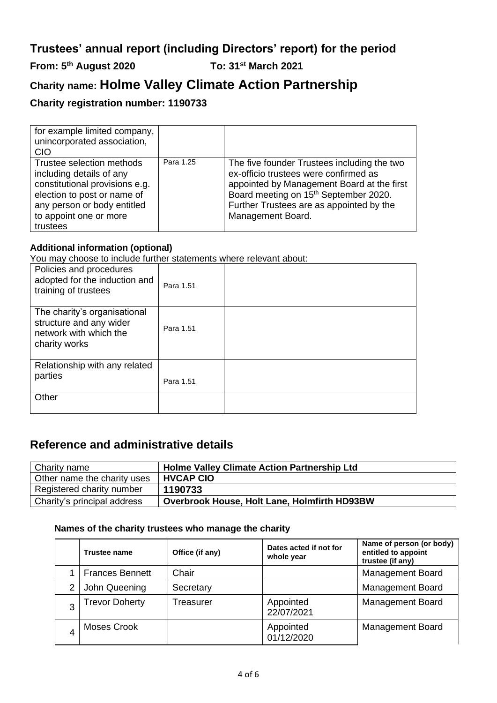## **From: 5th August 2020 To: 31st March 2021**

# **Charity name: Holme Valley Climate Action Partnership**

### **Charity registration number: 1190733**

| for example limited company,<br>unincorporated association,<br><b>CIO</b>                                                                                                                   |           |                                                                                                                                                                                                                                                          |
|---------------------------------------------------------------------------------------------------------------------------------------------------------------------------------------------|-----------|----------------------------------------------------------------------------------------------------------------------------------------------------------------------------------------------------------------------------------------------------------|
| Trustee selection methods<br>including details of any<br>constitutional provisions e.g.<br>election to post or name of<br>any person or body entitled<br>to appoint one or more<br>trustees | Para 1.25 | The five founder Trustees including the two<br>ex-officio trustees were confirmed as<br>appointed by Management Board at the first<br>Board meeting on 15 <sup>th</sup> September 2020.<br>Further Trustees are as appointed by the<br>Management Board. |

#### **Additional information (optional)**

You may choose to include further statements where relevant about:

| Policies and procedures<br>adopted for the induction and<br>training of trustees                   | Para 1.51 |  |
|----------------------------------------------------------------------------------------------------|-----------|--|
| The charity's organisational<br>structure and any wider<br>network with which the<br>charity works | Para 1.51 |  |
| Relationship with any related<br>parties                                                           | Para 1.51 |  |
| Other                                                                                              |           |  |

### **Reference and administrative details**

| Charity name                | <b>Holme Valley Climate Action Partnership Ltd</b>  |
|-----------------------------|-----------------------------------------------------|
| Other name the charity uses | <b>HVCAP CIO</b>                                    |
| Registered charity number   | 1190733                                             |
| Charity's principal address | <b>Overbrook House, Holt Lane, Holmfirth HD93BW</b> |

#### **Names of the charity trustees who manage the charity**

|   | <b>Trustee name</b>    | Office (if any) | Dates acted if not for<br>whole year | Name of person (or body)<br>entitled to appoint<br>trustee (if any) |
|---|------------------------|-----------------|--------------------------------------|---------------------------------------------------------------------|
|   | <b>Frances Bennett</b> | Chair           |                                      | <b>Management Board</b>                                             |
| 2 | John Queening          | Secretary       |                                      | <b>Management Board</b>                                             |
| 3 | <b>Trevor Doherty</b>  | Treasurer       | Appointed<br>22/07/2021              | <b>Management Board</b>                                             |
|   | Moses Crook            |                 | Appointed<br>01/12/2020              | <b>Management Board</b>                                             |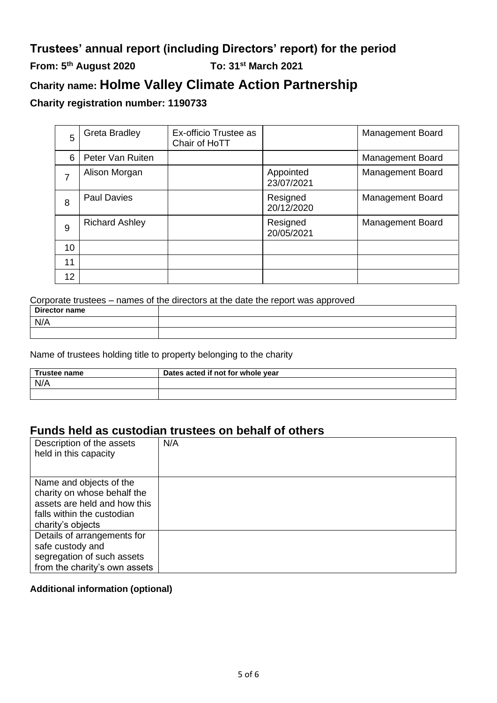# **Trustees' annual report (including Directors' report) for the period From: 5th August 2020 To: 31st March 2021 Charity name: Holme Valley Climate Action Partnership**

### **Charity registration number: 1190733**

| 5  | <b>Greta Bradley</b>  | Ex-officio Trustee as<br>Chair of HoTT |                         | <b>Management Board</b> |
|----|-----------------------|----------------------------------------|-------------------------|-------------------------|
| 6  | Peter Van Ruiten      |                                        |                         | <b>Management Board</b> |
| 7  | Alison Morgan         |                                        | Appointed<br>23/07/2021 | <b>Management Board</b> |
| 8  | <b>Paul Davies</b>    |                                        | Resigned<br>20/12/2020  | <b>Management Board</b> |
| 9  | <b>Richard Ashley</b> |                                        | Resigned<br>20/05/2021  | <b>Management Board</b> |
| 10 |                       |                                        |                         |                         |
| 11 |                       |                                        |                         |                         |
| 12 |                       |                                        |                         |                         |

Corporate trustees – names of the directors at the date the report was approved

| Director name |  |
|---------------|--|
| N/A           |  |
|               |  |

Name of trustees holding title to property belonging to the charity

| <b>Trustee name</b> | Dates acted if not for whole year |
|---------------------|-----------------------------------|
| N/A                 |                                   |
|                     |                                   |

### **Funds held as custodian trustees on behalf of others**

| Description of the assets<br>held in this capacity                                                                                        | N/A |
|-------------------------------------------------------------------------------------------------------------------------------------------|-----|
| Name and objects of the<br>charity on whose behalf the<br>assets are held and how this<br>falls within the custodian<br>charity's objects |     |
| Details of arrangements for<br>safe custody and<br>segregation of such assets<br>from the charity's own assets                            |     |

### **Additional information (optional)**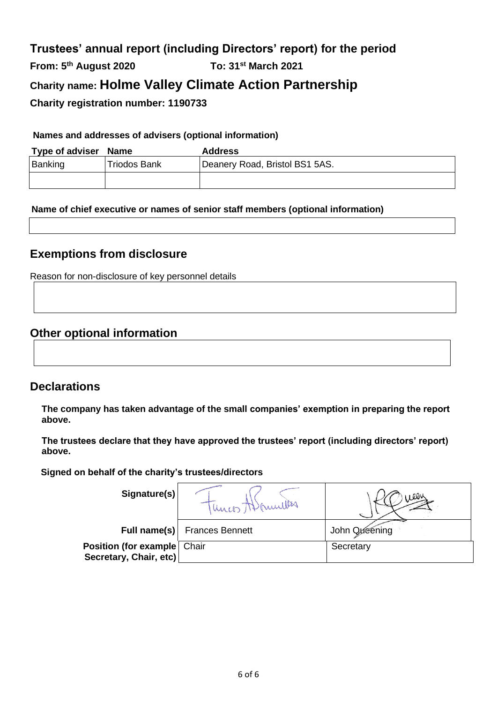# **Trustees' annual report (including Directors' report) for the period From: 5th August 2020 To: 31st March 2021 Charity name: Holme Valley Climate Action Partnership Charity registration number: 1190733**

### **Names and addresses of advisers (optional information)**

| Type of adviser Name |              | <b>Address</b>                 |
|----------------------|--------------|--------------------------------|
| Banking              | Triodos Bank | Deanery Road, Bristol BS1 5AS. |
|                      |              |                                |

### **Name of chief executive or names of senior staff members (optional information)**

### **Exemptions from disclosure**

Reason for non-disclosure of key personnel details

### **Other optional information**

### **Declarations**

**The company has taken advantage of the small companies' exemption in preparing the report above.**

**The trustees declare that they have approved the trustees' report (including directors' report) above.** 

 **Signed on behalf of the charity's trustees/directors**

| Signature(s)                                            | 1 Unio Manullas        | ىس.           |
|---------------------------------------------------------|------------------------|---------------|
| Full name(s)                                            | <b>Frances Bennett</b> | John Oxeening |
| Position (for example   Chair<br>Secretary, Chair, etc) |                        | Secretary     |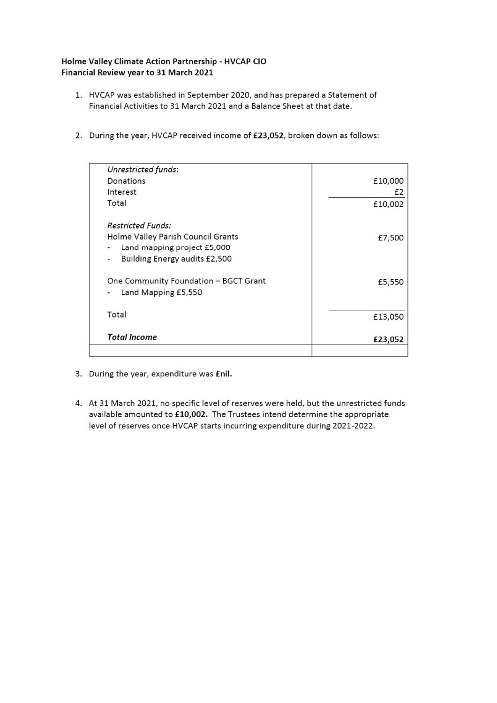#### Holme Valley Climate Action Partnership - HVCAP CIO Financial Review year to 31 March 2021

- 1. HVCAP was established in September 2020, and has prepared a Statement of Financial Activities to 31 March 2021 and a Balance Sheet at that date.
- 2. During the year, HVCAP received income of £23,052, broken down as follows:

| Unrestricted funds:                                          |         |
|--------------------------------------------------------------|---------|
| Donations                                                    | £10,000 |
| Interest                                                     | £2      |
| Total                                                        | £10,002 |
| <b>Restricted Funds:</b>                                     |         |
| Holme Valley Parish Council Grants                           | £7,500  |
| Land mapping project £5,000                                  |         |
| Building Energy audits £2,500                                |         |
| One Community Foundation - BGCT Grant<br>Land Mapping £5,550 | £5,550  |
|                                                              |         |
| Total                                                        | £13,050 |
|                                                              |         |
| <b>Total Income</b>                                          | £23,052 |
|                                                              |         |

- 3. During the year, expenditure was *fil.*
- 4. At 31 March 2021, no specific level of reserves were held, but the unrestricted funds available amounted to £10,002. The Trustees intend determine the appropriate level of reserves once HVCAP starts incurring expenditure during 2021-2022.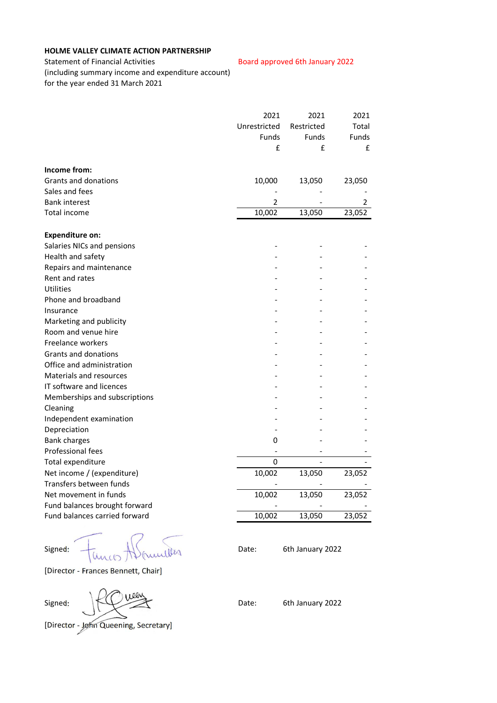#### **HOLME VALLEY CLIMATE ACTION PARTNERSHIP**

Statement of Financial Activities **Board approved 6th January 2022** (including summary income and expenditure account) for the year ended 31 March 2021

| Unrestricted<br>Restricted<br><b>Funds</b><br><b>Funds</b><br>£<br>£<br>10,000<br>13,050<br>23,050<br>2<br>2<br>10,002<br>13,050<br>23,052<br>0<br>0<br>10,002<br>13,050<br>23,052<br>10,002<br>13,050<br>23,052<br>10,002<br>23,052<br>13,050 |                                | 2021 | 2021 | 2021         |
|------------------------------------------------------------------------------------------------------------------------------------------------------------------------------------------------------------------------------------------------|--------------------------------|------|------|--------------|
|                                                                                                                                                                                                                                                |                                |      |      | Total        |
|                                                                                                                                                                                                                                                |                                |      |      | <b>Funds</b> |
|                                                                                                                                                                                                                                                |                                |      |      | £            |
|                                                                                                                                                                                                                                                | Income from:                   |      |      |              |
|                                                                                                                                                                                                                                                | <b>Grants and donations</b>    |      |      |              |
|                                                                                                                                                                                                                                                | Sales and fees                 |      |      |              |
|                                                                                                                                                                                                                                                | <b>Bank interest</b>           |      |      |              |
|                                                                                                                                                                                                                                                | Total income                   |      |      |              |
|                                                                                                                                                                                                                                                | <b>Expenditure on:</b>         |      |      |              |
|                                                                                                                                                                                                                                                | Salaries NICs and pensions     |      |      |              |
|                                                                                                                                                                                                                                                | Health and safety              |      |      |              |
|                                                                                                                                                                                                                                                | Repairs and maintenance        |      |      |              |
|                                                                                                                                                                                                                                                | Rent and rates                 |      |      |              |
|                                                                                                                                                                                                                                                | Utilities                      |      |      |              |
|                                                                                                                                                                                                                                                | Phone and broadband            |      |      |              |
|                                                                                                                                                                                                                                                | Insurance                      |      |      |              |
|                                                                                                                                                                                                                                                | Marketing and publicity        |      |      |              |
|                                                                                                                                                                                                                                                | Room and venue hire            |      |      |              |
|                                                                                                                                                                                                                                                | Freelance workers              |      |      |              |
|                                                                                                                                                                                                                                                | <b>Grants and donations</b>    |      |      |              |
|                                                                                                                                                                                                                                                | Office and administration      |      |      |              |
|                                                                                                                                                                                                                                                | <b>Materials and resources</b> |      |      |              |
|                                                                                                                                                                                                                                                | IT software and licences       |      |      |              |
|                                                                                                                                                                                                                                                | Memberships and subscriptions  |      |      |              |
|                                                                                                                                                                                                                                                | Cleaning                       |      |      |              |
|                                                                                                                                                                                                                                                | Independent examination        |      |      |              |
|                                                                                                                                                                                                                                                | Depreciation                   |      |      |              |
|                                                                                                                                                                                                                                                | <b>Bank charges</b>            |      |      |              |
|                                                                                                                                                                                                                                                | Professional fees              |      |      |              |
|                                                                                                                                                                                                                                                | Total expenditure              |      |      |              |
|                                                                                                                                                                                                                                                | Net income / (expenditure)     |      |      |              |
|                                                                                                                                                                                                                                                | Transfers between funds        |      |      |              |
|                                                                                                                                                                                                                                                | Net movement in funds          |      |      |              |
|                                                                                                                                                                                                                                                | Fund balances brought forward  |      |      |              |
|                                                                                                                                                                                                                                                | Fund balances carried forward  |      |      |              |

 $Signal: \quad \frac{1}{1000}$   $\frac{1}{1000}$   $\frac{1}{1000}$   $\frac{1}{1000}$   $\frac{1}{1000}$   $\frac{1}{1000}$   $\frac{1}{1000}$   $\frac{1}{1000}$   $\frac{1}{1000}$   $\frac{1}{1000}$   $\frac{1}{1000}$   $\frac{1}{1000}$   $\frac{1}{1000}$   $\frac{1}{1000}$   $\frac{1}{1000}$   $\frac{1}{1000}$   $\frac{1}{100$ 

[Director - Frances Bennett, Chair]

Signed: KU CH Branch Date: 6th January 2022

[Director - John Queening, Secretary]